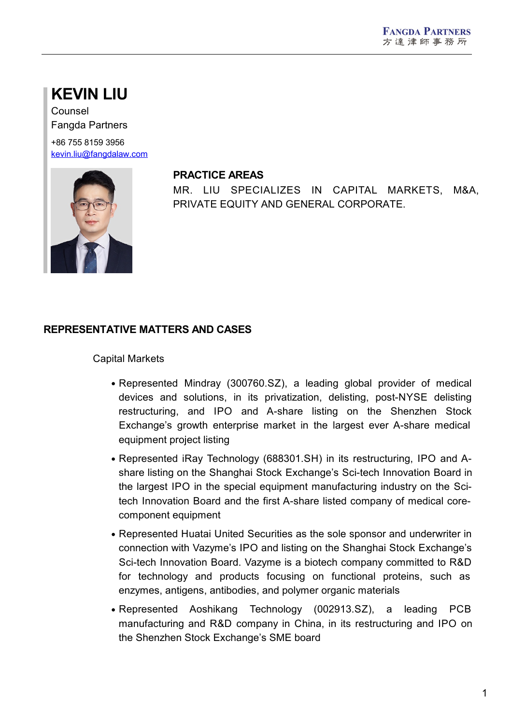# **KEVIN LIU**

Counsel Fangda Partners

+86 755 8159 3956 [kevin.liu@fangdalaw.com](mailto:kevin.liu@fangdalaw.com)



#### **PRACTICE AREAS**

MR. LIU SPECIALIZES IN CAPITAL MARKETS, M&A, PRIVATE EQUITY AND GENERAL CORPORATE.

# **REPRESENTATIVE MATTERS AND CASES**

#### Capital Markets

- Represented Mindray (300760.SZ), a leading global provider of medical devices and solutions, in its privatization, delisting, post-NYSE delisting restructuring, and IPO and A-share listing on the Shenzhen Stock Exchange's growth enterprise market in the largest ever A-share medical equipment project listing
- Represented iRay Technology (688301.SH) in its restructuring, IPO and A share listing on the Shanghai Stock Exchange's Sci-tech Innovation Board in the largest IPO in the special equipment manufacturing industry on the Scitech Innovation Board and the first A-share listed company of medical core component equipment
- Represented Huatai United Securities as the sole sponsor and underwriter in connection with Vazyme's IPO and listing on the Shanghai Stock Exchange's Sci-tech Innovation Board. Vazyme is a biotech company committed to R&D for technology and products focusing on functional proteins, such as enzymes, antigens, antibodies, and polymer organic materials
- Represented Aoshikang Technology (002913.SZ), a leading PCB manufacturing and R&D company in China, in its restructuring and IPO on the Shenzhen Stock Exchange's SME board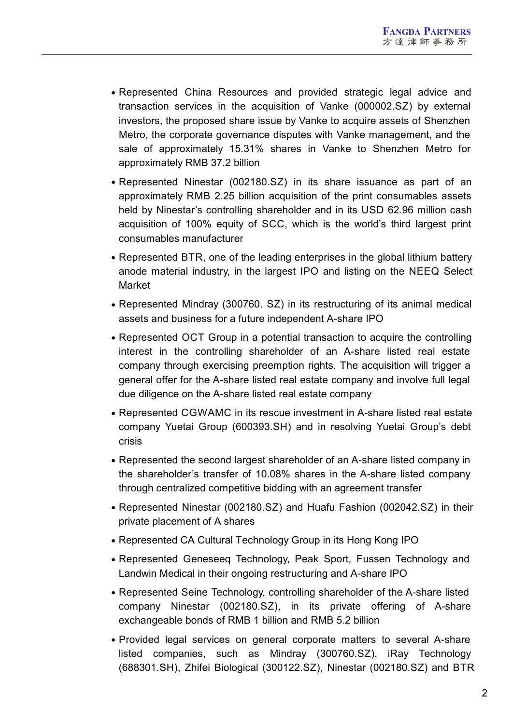- Represented China Resources and provided strategic legal advice and transaction services in the acquisition of Vanke (000002.SZ) by external investors, the proposed share issue by Vanke to acquire assets of Shenzhen Metro, the corporate governance disputes with Vanke management, and the sale of approximately 15.31% shares in Vanke to Shenzhen Metro for approximately RMB 37.2 billion
- Represented Ninestar (002180.SZ) in its share issuance as part of an approximately RMB 2.25 billion acquisition of the print consumables assets held by Ninestar's controlling shareholder and in its USD 62.96 million cash acquisition of 100% equity of SCC, which is the world's third largest print consumables manufacturer
- Represented BTR, one of the leading enterprises in the global lithium battery anode material industry, in the largest IPO and listing on the NEEQ Select Market
- Represented Mindray (300760. SZ) in its restructuring of its animal medical assets and business for a future independent A-share IPO
- Represented OCT Group in a potential transaction to acquire the controlling interest in the controlling shareholder of an A-share listed real estate company through exercising preemption rights. The acquisition will trigger a general offer for the A-share listed real estate company and involve full legal due diligence on the A-share listed real estate company
- Represented CGWAMC in its rescue investment in A-share listed real estate company Yuetai Group (600393.SH) and in resolving Yuetai Group's debt crisis
- Represented the second largest shareholder of an A-share listed company in the shareholder's transfer of 10.08% shares in the A-share listed company through centralized competitive bidding with an agreement transfer
- Represented Ninestar (002180.SZ) and Huafu Fashion (002042.SZ) in their private placement of A shares
- Represented CA Cultural Technology Group in its Hong Kong IPO
- Represented Geneseeq Technology, Peak Sport, Fussen Technology and Landwin Medical in their ongoing restructuring and A-share IPO
- Represented Seine Technology, controlling shareholder of the A-share listed company Ninestar (002180.SZ), in its private offering of A-share exchangeable bonds of RMB 1 billion and RMB 5.2 billion
- Provided legal services on general corporate matters to several A-share listed companies, such as Mindray (300760.SZ), iRay Technology (688301.SH), Zhifei Biological (300122.SZ), Ninestar (002180.SZ) and BTR